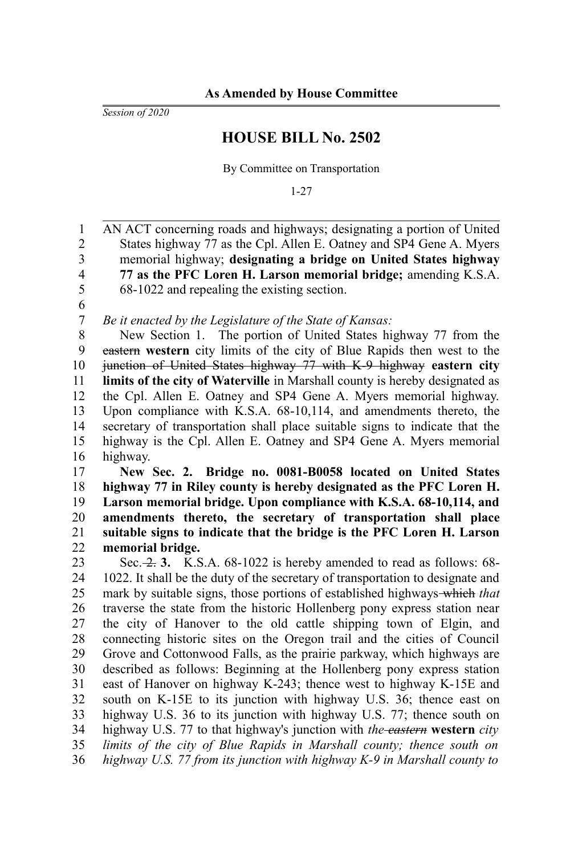*Session of 2020*

## **HOUSE BILL No. 2502**

By Committee on Transportation

1-27

AN ACT concerning roads and highways; designating a portion of United States highway 77 as the Cpl. Allen E. Oatney and SP4 Gene A. Myers memorial highway; **designating a bridge on United States highway 77 as the PFC Loren H. Larson memorial bridge;** amending K.S.A. 68-1022 and repealing the existing section. *Be it enacted by the Legislature of the State of Kansas:* New Section 1. The portion of United States highway 77 from the eastern **western** city limits of the city of Blue Rapids then west to the junction of United States highway 77 with K-9 highway **eastern city limits of the city of Waterville** in Marshall county is hereby designated as the Cpl. Allen E. Oatney and SP4 Gene A. Myers memorial highway. Upon compliance with K.S.A. 68-10,114, and amendments thereto, the secretary of transportation shall place suitable signs to indicate that the highway is the Cpl. Allen E. Oatney and SP4 Gene A. Myers memorial 1 2 3 4 5 6 7 8 9 10 11 12 13 14 15

highway. 16

**New Sec. 2. Bridge no. 0081-B0058 located on United States highway 77 in Riley county is hereby designated as the PFC Loren H. Larson memorial bridge. Upon compliance with K.S.A. 68-10,114, and amendments thereto, the secretary of transportation shall place suitable signs to indicate that the bridge is the PFC Loren H. Larson memorial bridge.** 17 18 19 20 21 22

Sec. 2. 3. K.S.A. 68-1022 is hereby amended to read as follows: 68-1022. It shall be the duty of the secretary of transportation to designate and mark by suitable signs, those portions of established highways which *that* traverse the state from the historic Hollenberg pony express station near the city of Hanover to the old cattle shipping town of Elgin, and connecting historic sites on the Oregon trail and the cities of Council Grove and Cottonwood Falls, as the prairie parkway, which highways are described as follows: Beginning at the Hollenberg pony express station east of Hanover on highway K-243; thence west to highway K-15E and south on K-15E to its junction with highway U.S. 36; thence east on highway U.S. 36 to its junction with highway U.S. 77; thence south on highway U.S. 77 to that highway's junction with *the eastern* **western** *city limits of the city of Blue Rapids in Marshall county; thence south on highway U.S. 77 from its junction with highway K-9 in Marshall county to* 23 24 25 26 27 28 29 30 31 32 33 34 35 36